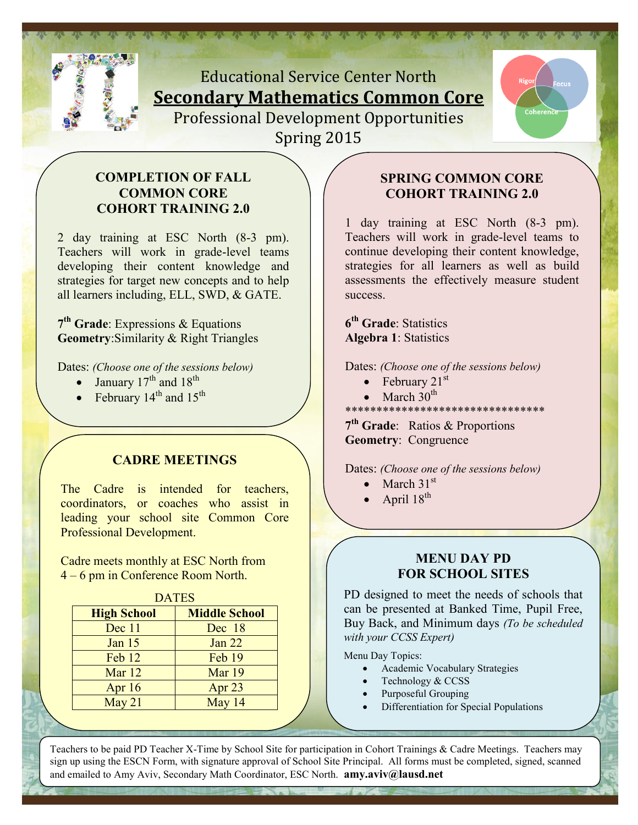

# Educational Service Center North **Secondary Mathematics Common Core**  Professional Development Opportunities Spring 2015



#### **COMPLETION OF FALL COMMON CORE COHORT TRAINING 2.0**

2 day training at ESC North (8-3 pm). Teachers will work in grade-level teams developing their content knowledge and strategies for target new concepts and to help all learners including, ELL, SWD, & GATE.

**7 th Grade**: Expressions & Equations **Geometry**:Similarity & Right Triangles

Dates: *(Choose one of the sessions below)*

- January 17<sup>th</sup> and 18<sup>th</sup>
- February  $14^{\text{th}}$  and  $15^{\text{th}}$

#### **CADRE MEETINGS**

The Cadre is intended for teachers, coordinators, or coaches who assist in leading your school site Common Core Professional Development.

Cadre meets monthly at ESC North from 4 – 6 pm in Conference Room North.

| <b>DATES</b>       |                      |  |
|--------------------|----------------------|--|
| <b>High School</b> | <b>Middle School</b> |  |
| Dec 11             | Dec 18               |  |
| Jan $15$           | <b>Jan 22</b>        |  |
| Feb 12             | Feb 19               |  |
| Mar 12             | Mar 19               |  |
| Apr $16$           | Apr <sub>23</sub>    |  |
| May 21             | May 14               |  |
|                    |                      |  |

#### **SPRING COMMON CORE COHORT TRAINING 2.0**

1 day training at ESC North (8-3 pm). Teachers will work in grade-level teams to continue developing their content knowledge, strategies for all learners as well as build assessments the effectively measure student success.

**6 th Grade**: Statistics **Algebra 1**: Statistics

Dates: *(Choose one of the sessions below)*

- February  $21<sup>st</sup>$
- March  $30<sup>th</sup>$
- \*\*\*\*\*\*\*\*\*\*\*\*\*\*\*\*\*\*\*\*\*\*\*\*\*\*\*\*\*\*\*\*

**7 th Grade**: Ratios & Proportions **Geometry**: Congruence

Dates: *(Choose one of the sessions below)*

- $\bullet$  March 31<sup>st</sup>
- April  $18^{th}$

#### **MENU DAY PD FOR SCHOOL SITES**

PD designed to meet the needs of schools that can be presented at Banked Time, Pupil Free, Buy Back, and Minimum days *(To be scheduled with your CCSS Expert)*

Menu Day Topics:

- Academic Vocabulary Strategies
- Technology & CCSS
- Purposeful Grouping
- Differentiation for Special Populations

Teachers to be paid PD Teacher X-Time by School Site for participation in Cohort Trainings & Cadre Meetings. Teachers may sign up using the ESCN Form, with signature approval of School Site Principal. All forms must be completed, signed, scanned and emailed to Amy Aviv, Secondary Math Coordinator, ESC North. **amy.aviv@lausd.net**